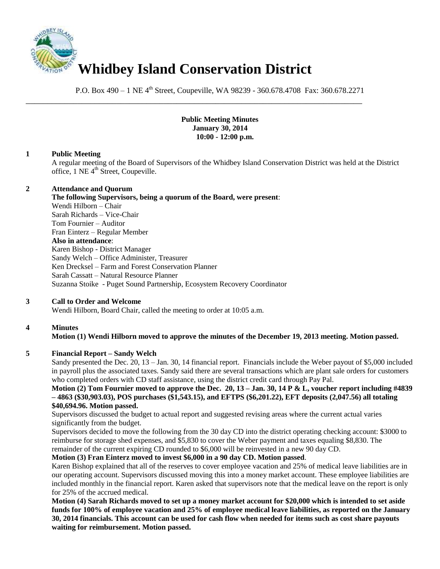

P.O. Box 490 – 1 NE 4<sup>th</sup> Street, Coupeville, WA 98239 - 360.678.4708 Fax: 360.678.2271

\_\_\_\_\_\_\_\_\_\_\_\_\_\_\_\_\_\_\_\_\_\_\_\_\_\_\_\_\_\_\_\_\_\_\_\_\_\_\_\_\_\_\_\_\_\_\_\_\_\_\_\_\_\_\_\_\_\_\_\_\_\_\_\_\_\_\_\_\_\_\_\_\_\_\_\_\_\_

## **Public Meeting Minutes January 30, 2014 10:00 - 12:00 p.m.**

## **1 Public Meeting**

A regular meeting of the Board of Supervisors of the Whidbey Island Conservation District was held at the District office, 1 NE 4<sup>th</sup> Street, Coupeville.

### **2 Attendance and Quorum**

**The following Supervisors, being a quorum of the Board, were present**: Wendi Hilborn – Chair Sarah Richards – Vice-Chair Tom Fournier – Auditor Fran Einterz – Regular Member **Also in attendance**: Karen Bishop - District Manager Sandy Welch – Office Administer, Treasurer Ken Drecksel – Farm and Forest Conservation Planner Sarah Cassatt – Natural Resource Planner Suzanna Stoike - Puget Sound Partnership, Ecosystem Recovery Coordinator

## **3 Call to Order and Welcome**

Wendi Hilborn, Board Chair, called the meeting to order at 10:05 a.m.

## **4 Minutes**

## **Motion (1) Wendi Hilborn moved to approve the minutes of the December 19, 2013 meeting. Motion passed.**

## **5 Financial Report – Sandy Welch**

Sandy presented the Dec. 20, 13 – Jan. 30, 14 financial report. Financials include the Weber payout of \$5,000 included in payroll plus the associated taxes. Sandy said there are several transactions which are plant sale orders for customers who completed orders with CD staff assistance, using the district credit card through Pay Pal.

### **Motion (2) Tom Fournier moved to approve the Dec. 20, 13 – Jan. 30, 14 P & L, voucher report including #4839 – 4863 (\$30,903.03), POS purchases (\$1,543.15), and EFTPS (\$6,201.22), EFT deposits (2,047.56) all totaling \$40,694.96. Motion passed.**

Supervisors discussed the budget to actual report and suggested revising areas where the current actual varies significantly from the budget.

Supervisors decided to move the following from the 30 day CD into the district operating checking account: \$3000 to reimburse for storage shed expenses, and \$5,830 to cover the Weber payment and taxes equaling \$8,830. The remainder of the current expiring CD rounded to \$6,000 will be reinvested in a new 90 day CD.

## **Motion (3) Fran Einterz moved to invest \$6,000 in a 90 day CD. Motion passed**.

Karen Bishop explained that all of the reserves to cover employee vacation and 25% of medical leave liabilities are in our operating account. Supervisors discussed moving this into a money market account. These employee liabilities are included monthly in the financial report. Karen asked that supervisors note that the medical leave on the report is only for 25% of the accrued medical.

**Motion (4) Sarah Richards moved to set up a money market account for \$20,000 which is intended to set aside funds for 100% of employee vacation and 25% of employee medical leave liabilities, as reported on the January 30, 2014 financials. This account can be used for cash flow when needed for items such as cost share payouts waiting for reimbursement. Motion passed.**